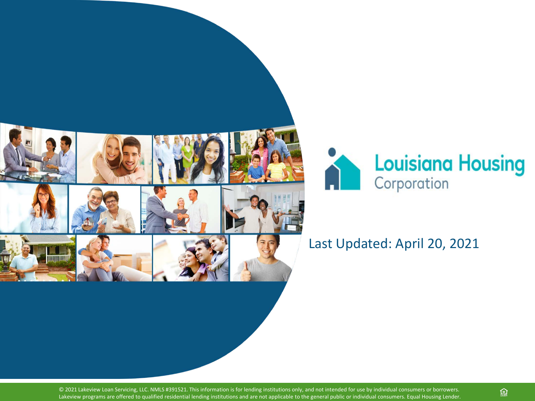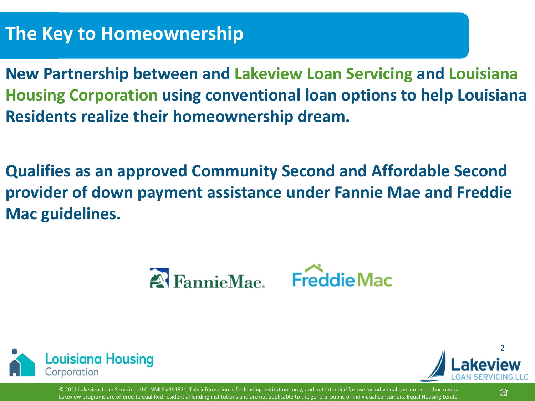### **The Key to Homeownership**

**New Partnership between and Lakeview Loan Servicing and Louisiana Housing Corporation using conventional loan options to help Louisiana Residents realize their homeownership dream.**

**Qualifies as an approved Community Second and Affordable Second provider of down payment assistance under Fannie Mae and Freddie Mac guidelines.**





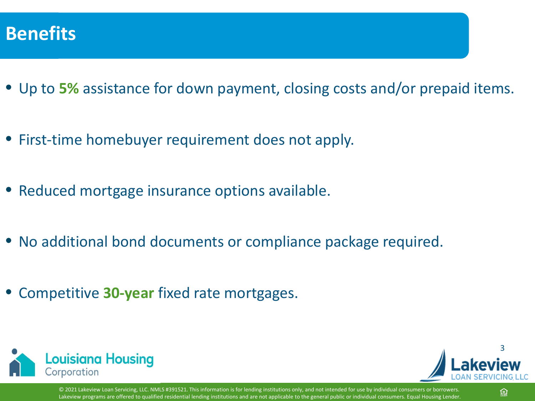

- Up to **5%** assistance for down payment, closing costs and/or prepaid items.
- First-time homebuyer requirement does not apply.
- Reduced mortgage insurance options available.
- No additional bond documents or compliance package required.
- Competitive **30-year** fixed rate mortgages.





頁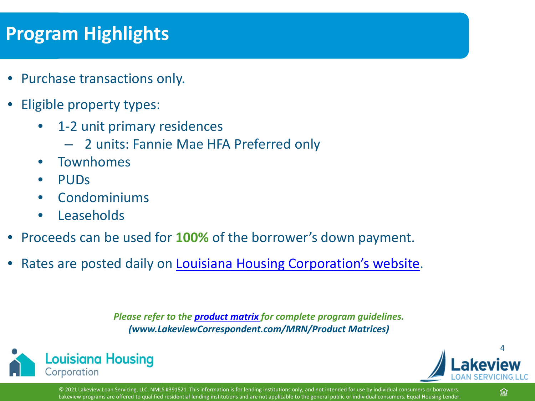### **Program Highlights**

- Purchase transactions only.
- Eligible property types:
	- 1-2 unit primary residences
		- 2 units: Fannie Mae HFA Preferred only
	- Townhomes
	- PUDs
	- Condominiums
	- Leaseholds
- Proceeds can be used for **100%** of the borrower's down payment.
- Rates are posted daily on [Louisiana Housing Corporation's website](https://www.lhc.la.gov/).

*Please refer to the [product matrix](https://www.mrn3.com/Client/bayview.asp) for complete program guidelines. (www.LakeviewCorrespondent.com/MRN/Product Matrices)*





© 2021 Lakeview Loan Servicing, LLC. NMLS #391521. This information is for lending institutions only, and not intended for use by individual consumers or borrowers. Lakeview programs are offered to qualified residential lending institutions and are not applicable to the general public or individual consumers. Equal Housing Lender

頁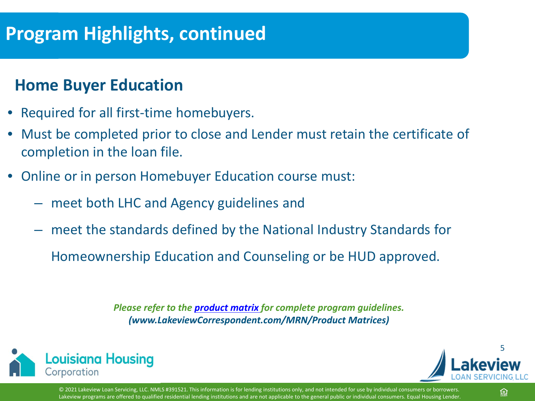### **Program Highlights, continued**

#### **Home Buyer Education**

- Required for all first-time homebuyers.
- Must be completed prior to close and Lender must retain the certificate of completion in the loan file.
- Online or in person Homebuyer Education course must:
	- meet both LHC and Agency guidelines and
	- meet the standards defined by the National Industry Standards for

Homeownership Education and Counseling or be HUD approved.

*Please refer to the [product matrix](https://www.mrn3.com/Client/bayview.asp) for complete program guidelines. (www.LakeviewCorrespondent.com/MRN/Product Matrices)*



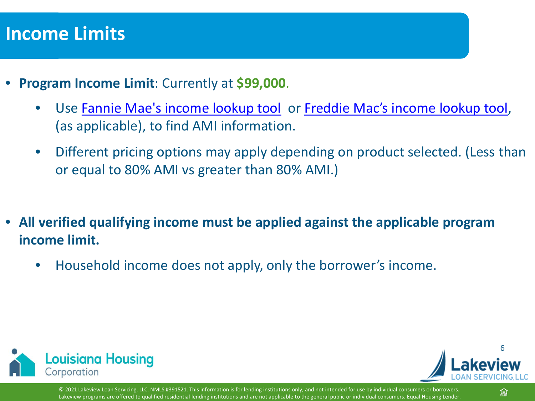#### **Income Limits**

- **Program Income Limit**: Currently at **\$99,000**.
	- Use [Fannie Mae's income lookup tool](https://homeready-eligibility.fanniemae.com/homeready/) or [Freddie Mac's income lookup tool,](https://sf.freddiemac.com/working-with-us/affordable-lending/home-possible-eligibility-map) (as applicable), to find AMI information.
	- Different pricing options may apply depending on product selected. (Less than or equal to 80% AMI vs greater than 80% AMI.)
- **All verified qualifying income must be applied against the applicable program income limit.**
	- Household income does not apply, only the borrower's income.



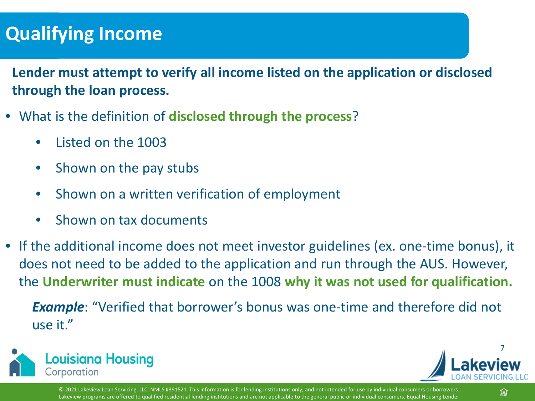### **Qualifying Income**

- **Lender must attempt to verify all income listed on the application or disclosed through the loan process.**
- What is the definition of **disclosed through the process**?
	- Listed on the 1003
	- Shown on the pay stubs
	- Shown on a written verification of employment
	- Shown on tax documents
- If the additional income does not meet investor guidelines (ex. one-time bonus), it does not need to be added to the application and run through the AUS. However, the **Underwriter must indicate** on the 1008 **why it was not used for qualification.**

*Example*: "Verified that borrower's bonus was one-time and therefore did not use it."



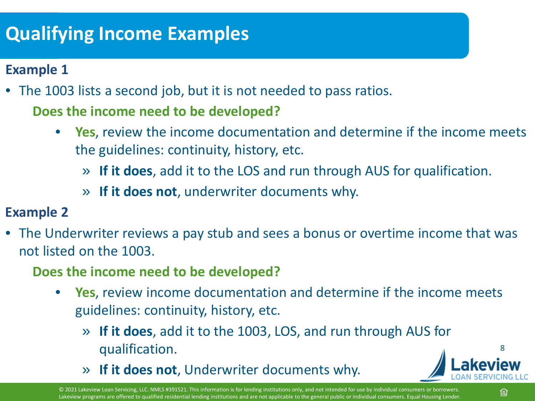## **Qualifying Income Examples**

#### **Example 1**

• The 1003 lists a second job, but it is not needed to pass ratios. **Does the income need to be developed?**

- **Yes**, review the income documentation and determine if the income meets the guidelines: continuity, history, etc.
	- » **If it does**, add it to the LOS and run through AUS for qualification.
	- » **If it does not**, underwriter documents why.

#### **Example 2**

- The Underwriter reviews a pay stub and sees a bonus or overtime income that was not listed on the 1003.
	- **Does the income need to be developed?**
		- **Yes**, review income documentation and determine if the income meets guidelines: continuity, history, etc.
			- » **If it does**, add it to the 1003, LOS, and run through AUS for qualification.
			- » **If it does not**, Underwriter documents why.

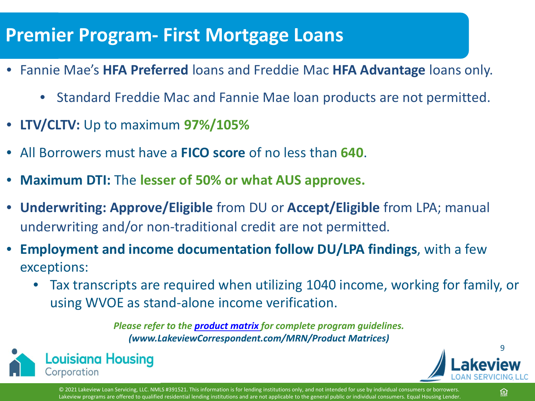#### **Premier Program- First Mortgage Loans**

- Fannie Mae's **HFA Preferred** loans and Freddie Mac **HFA Advantage** loans only.
	- Standard Freddie Mac and Fannie Mae loan products are not permitted.
- **LTV/CLTV:** Up to maximum **97%/105%**
- All Borrowers must have a **FICO score** of no less than **640**.
- **Maximum DTI:** The **lesser of 50% or what AUS approves.**
- **Underwriting: Approve/Eligible** from DU or **Accept/Eligible** from LPA; manual underwriting and/or non-traditional credit are not permitted.
- **Employment and income documentation follow DU/LPA findings**, with a few exceptions:
	- Tax transcripts are required when utilizing 1040 income, working for family, or using WVOE as stand-alone income verification.

*Please refer to the [product matrix](https://www.mrn3.com/Client/bayview.asp) for complete program guidelines. (www.LakeviewCorrespondent.com/MRN/Product Matrices)*





© 2021 Lakeview Loan Servicing, LLC. NMLS #391521. This information is for lending institutions only, and not intended for use by individual consumers or borrowers. Lakeview programs are offered to qualified residential lending institutions and are not applicable to the general public or individual consumers. Equal Housing Lender.

冟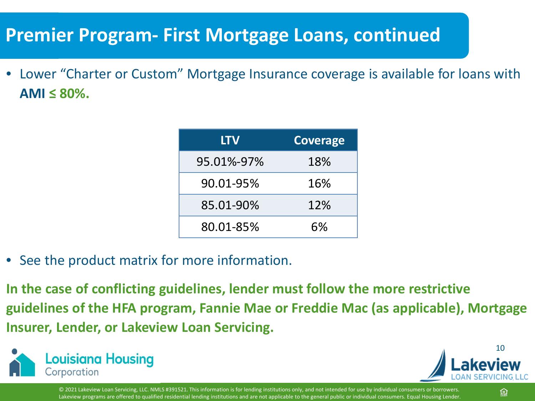### **Premier Program- First Mortgage Loans, continued**

• Lower "Charter or Custom" Mortgage Insurance coverage is available for loans with  $AMI \leq 80\%$ .

| <b>LTV</b> | <b>Coverage</b> |
|------------|-----------------|
| 95.01%-97% | 18%             |
| 90.01-95%  | 16%             |
| 85.01-90%  | 12%             |
| 80.01-85%  | 6%              |

- See the product matrix for more information.
- **In the case of conflicting guidelines, lender must follow the more restrictive guidelines of the HFA program, Fannie Mae or Freddie Mac (as applicable), Mortgage Insurer, Lender, or Lakeview Loan Servicing.**



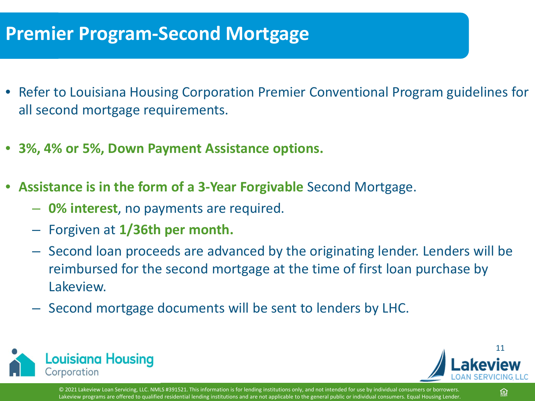### **Premier Program-Second Mortgage**

- Refer to Louisiana Housing Corporation Premier Conventional Program guidelines for all second mortgage requirements.
- **3%, 4% or 5%, Down Payment Assistance options.**
- **Assistance is in the form of a 3-Year Forgivable** Second Mortgage.
	- **0% interest**, no payments are required.
	- Forgiven at **1/36th per month.**
	- Second loan proceeds are advanced by the originating lender. Lenders will be reimbursed for the second mortgage at the time of first loan purchase by Lakeview.
	- Second mortgage documents will be sent to lenders by LHC.



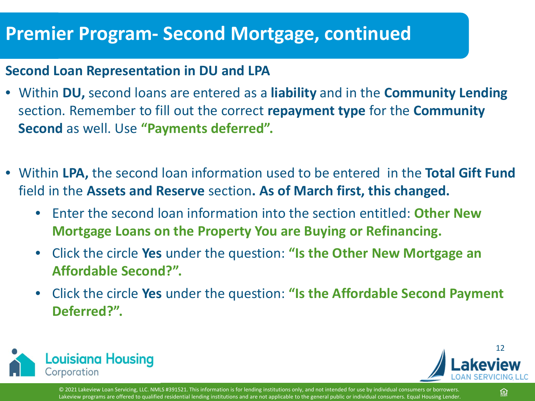#### **Premier Program- Second Mortgage, continued**

#### **Second Loan Representation in DU and LPA**

- Within **DU,** second loans are entered as a **liability** and in the **Community Lending**  section. Remember to fill out the correct **repayment type** for the **Community Second** as well. Use **"Payments deferred".**
- Within **LPA,** the second loan information used to be entered in the **Total Gift Fund**  field in the **Assets and Reserve** section**. As of March first, this changed.**
	- Enter the second loan information into the section entitled: **Other New Mortgage Loans on the Property You are Buying or Refinancing.**
	- Click the circle **Yes** under the question: **"Is the Other New Mortgage an Affordable Second?".**
	- Click the circle **Yes** under the question: **"Is the Affordable Second Payment Deferred?".**



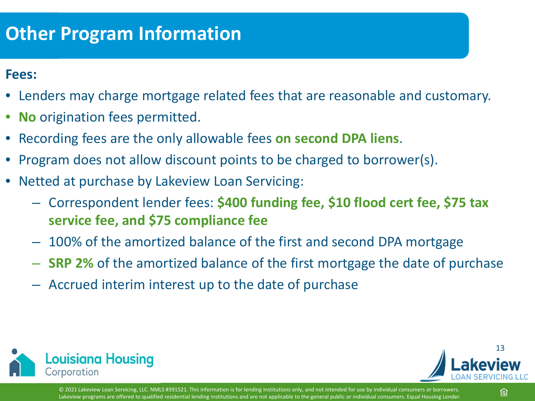### **Other Program Information**

#### **Fees:**

- Lenders may charge mortgage related fees that are reasonable and customary.
- **No** origination fees permitted.
- Recording fees are the only allowable fees **on second DPA liens**.
- Program does not allow discount points to be charged to borrower(s).
- Netted at purchase by Lakeview Loan Servicing:
	- Correspondent lender fees: **\$400 funding fee, \$10 flood cert fee, \$75 tax service fee, and \$75 compliance fee**
	- 100% of the amortized balance of the first and second DPA mortgage
	- **SRP 2%** of the amortized balance of the first mortgage the date of purchase
	- Accrued interim interest up to the date of purchase





© 2021 Lakeview Loan Servicing, LLC. NMLS #391521. This information is for lending institutions only, and not intended for use by individual consumers or borrowers. Lakeview programs are offered to qualified residential lending institutions and are not applicable to the general public or individual consumers. Equal Housing Lender.

舃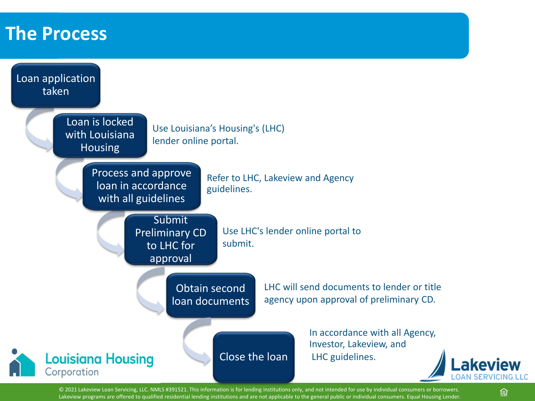#### **The Process**

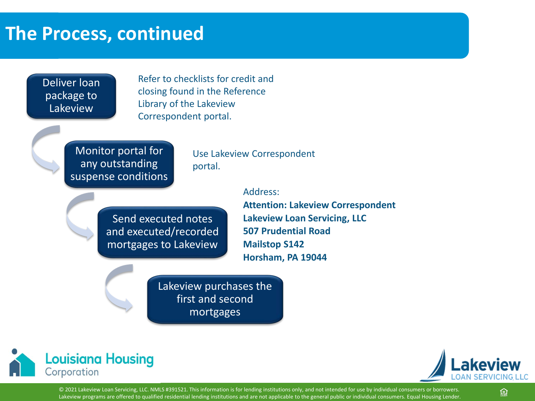#### **The Process, continued**

Deliver loan package to Lakeview

Refer to checklists for credit and closing found in the Reference Library of the Lakeview Correspondent portal.

Monitor portal for any outstanding suspense conditions

Use Lakeview Correspondent portal.

Address:

Send executed notes and executed/recorded mortgages to Lakeview

**Attention: Lakeview Correspondent Lakeview Loan Servicing, LLC 507 Prudential Road Mailstop S142 Horsham, PA 19044**

Lakeview purchases the first and second mortgages



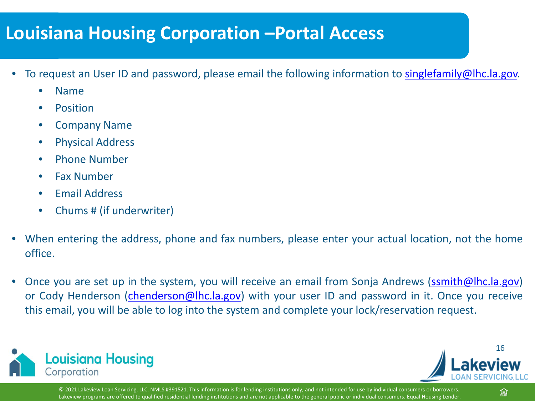#### **Louisiana Housing Corporation –Portal Access**

- To request an User ID and password, please email the following information to [singlefamily@lhc.la.gov.](mailto:singlefamily@lhc.la.gov)
	- Name
	- **Position**
	- Company Name
	- Physical Address
	- Phone Number
	- Fax Number
	- Email Address
	- Chums # (if underwriter)
- When entering the address, phone and fax numbers, please enter your actual location, not the home office.
- Once you are set up in the system, you will receive an email from Sonja Andrews [\(ssmith@lhc.la.gov\)](mailto:ssmith@lhc.la.gov) or Cody Henderson [\(chenderson@lhc.la.gov](mailto:chenderson@lhc.la.gov)) with your user ID and password in it. Once you receive this email, you will be able to log into the system and complete your lock/reservation request.



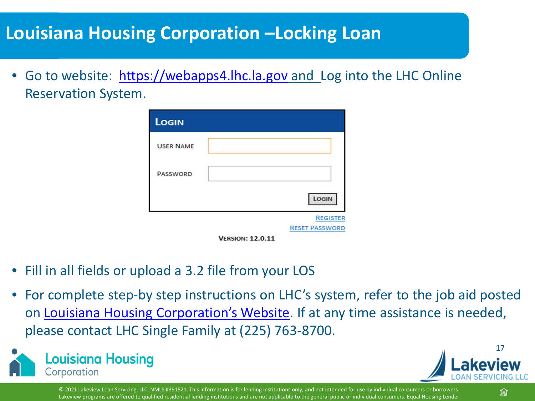#### **Louisiana Housing Corporation –Locking Loan**

• Go to website: [https://webapps4.lhc.la.gov](https://webapps4.lhc.la.gov/) and Log into the LHC Online Reservation System.

| LOGIN            |                         |                       |
|------------------|-------------------------|-----------------------|
| <b>USER NAME</b> |                         |                       |
| <b>PASSWORD</b>  |                         |                       |
|                  |                         | LOGIN                 |
|                  |                         | <b>REGISTER</b>       |
|                  | <b>VERSION: 12.0.11</b> | <b>RESET PASSWORD</b> |

- Fill in all fields or upload a 3.2 file from your LOS
- For complete step-by step instructions on LHC's system, refer to the job aid posted on [Louisiana Housing Corporation's Website](https://www.lhc.la.gov/lenders). If at any time assistance is needed, please contact LHC Single Family at (225) 763-8700.



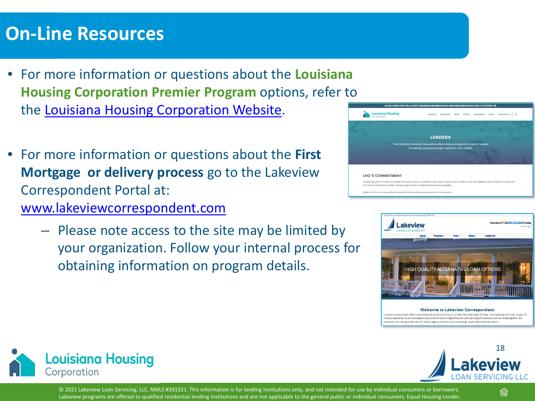#### **On-Line Resources**

- For more information or questions about the **Louisiana Housing Corporation Premier Program** options, refer to the [Louisiana Housing Corporation Website](https://www.lhc.la.gov/lenders).
- For more information or questions about the **First Mortgage or delivery process** go to the Lakeview Correspondent Portal at: [www.lakeviewcorrespondent.com](http://www.lakeviewcorrespondent.com/)
	- Please note access to the site may be limited by your organization. Follow your internal process for obtaining information on program details.





#### **Welcome to Lakeview Correspondent**

Lakeview Correspondent offers a comprehensive portfolio of products to meet the market needs of today. Well-capitalized with over 25 years of ndustry experience, we provide single-source access to the full range of Bayview Loan Servicing and Lakeview Loan Servicing programs, an pecialize in purchasing closed loans for popular agency products and providing high quality alternative loan options,



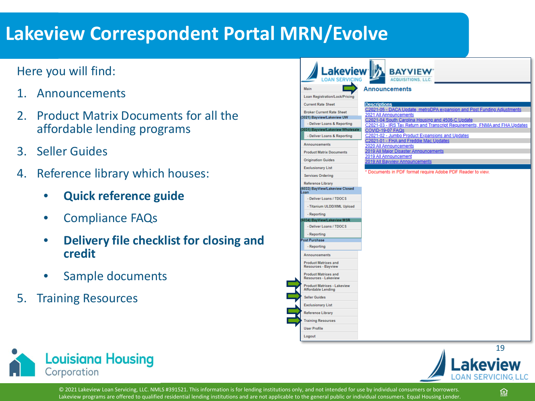### **Lakeview Correspondent Portal MRN/Evolve**

#### Here you will find:

- 1. Announcements
- 2. Product Matrix Documents for all the affordable lending programs
- 3. Seller Guides
- 4. Reference library which houses:
	- **Quick reference guide**
	- Compliance FAQs
	- **Delivery file checklist for closing and credit**
	- Sample documents
- 5. Training Resources

| Lakeview <sup>-</sup>                                           | <b>BAYVIEW</b><br><b>ACQUISITIONS, LLC.</b>                                                     |
|-----------------------------------------------------------------|-------------------------------------------------------------------------------------------------|
| Main                                                            | <b>Announcements</b>                                                                            |
| <b>Loan Registration/Lock/Pricing</b>                           |                                                                                                 |
| <b>Current Rate Sheet</b>                                       | <b>Descriptions</b>                                                                             |
|                                                                 | C2021-05 - DACA Update, metroDPA expansion and Post Funding Adjustments                         |
| <b>Broker Current Rate Sheet</b><br>3021) Bayview/Lakeview UW   | 2021 All Announcements                                                                          |
| - Deliver Loans & Reporting                                     | C2021-04 South Carolina Housing and 4506-C Update                                               |
| (3031) Bayview/Lakeview Wholesale                               | C2021-03 - IRS Tax Return and Transcript Requirements, FNMA and FHA Updates<br>COVID-19-07 FAQs |
| - Deliver Loans & Reporting                                     | C2021-02 - Jumbo Product Expansions and Updates                                                 |
| <b>Announcements</b>                                            | C2021-01 - FHA and Freddie Mac Updates                                                          |
|                                                                 | 2020 All Announcements<br>2019 All Major Disaster Announcements                                 |
| <b>Product Matrix Documents</b>                                 | 2019 All Announcement                                                                           |
| <b>Origination Guides</b>                                       | 2019 All Bayview Announcements                                                                  |
| <b>Exclusionary List</b>                                        |                                                                                                 |
| <b>Services Ordering</b>                                        | * Documents in PDF format require Adobe PDF Reader to view.                                     |
| Loan<br>- Deliver Loans / TDOCS<br>- Titanium ULDD/XML Upload   |                                                                                                 |
| - Reporting                                                     |                                                                                                 |
| (6034) BayView/Lakeview MSR                                     |                                                                                                 |
| - Deliver Loans / TDOCS                                         |                                                                                                 |
| - Reporting                                                     |                                                                                                 |
| <b>Post Purchase</b>                                            |                                                                                                 |
| - Reporting                                                     |                                                                                                 |
| <b>Announcements</b>                                            |                                                                                                 |
| <b>Product Matrices and</b><br><b>Resources - Bayview</b>       |                                                                                                 |
| <b>Product Matrices and</b><br><b>Resources - Lakeview</b>      |                                                                                                 |
| <b>Product Matrices - Lakeview</b><br><b>Affordable Lending</b> |                                                                                                 |
| <b>Seller Guides</b>                                            |                                                                                                 |
|                                                                 |                                                                                                 |
| <b>Exclusionary List</b>                                        |                                                                                                 |
| <b>Reference Library</b>                                        |                                                                                                 |
|                                                                 |                                                                                                 |
| <b>Training Resources</b><br><b>User Profile</b>                |                                                                                                 |





© 2021 Lakeview Loan Servicing, LLC. NMLS #391521. This information is for lending institutions only, and not intended for use by individual consumers or borrowers. Lakeview programs are offered to qualified residential lending institutions and are not applicable to the general public or individual consumers. Equal Housing Lender

舃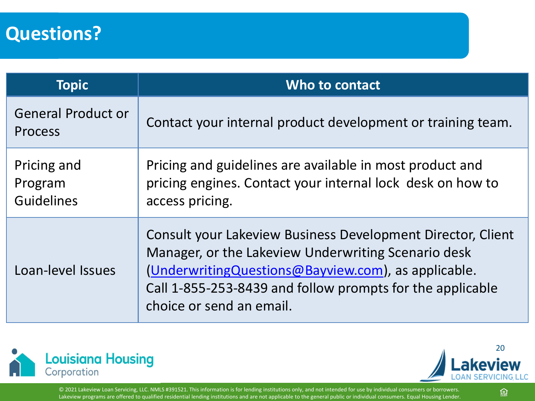#### **Questions?**

| <b>Topic</b>                                | Who to contact                                                                                                                                                                                                                                                        |
|---------------------------------------------|-----------------------------------------------------------------------------------------------------------------------------------------------------------------------------------------------------------------------------------------------------------------------|
| <b>General Product or</b><br>Process        | Contact your internal product development or training team.                                                                                                                                                                                                           |
| Pricing and<br>Program<br><b>Guidelines</b> | Pricing and guidelines are available in most product and<br>pricing engines. Contact your internal lock desk on how to<br>access pricing.                                                                                                                             |
| Loan-level Issues                           | Consult your Lakeview Business Development Director, Client<br>Manager, or the Lakeview Underwriting Scenario desk<br>(Underwriting Questions @ Bayview.com), as applicable.<br>Call 1-855-253-8439 and follow prompts for the applicable<br>choice or send an email. |



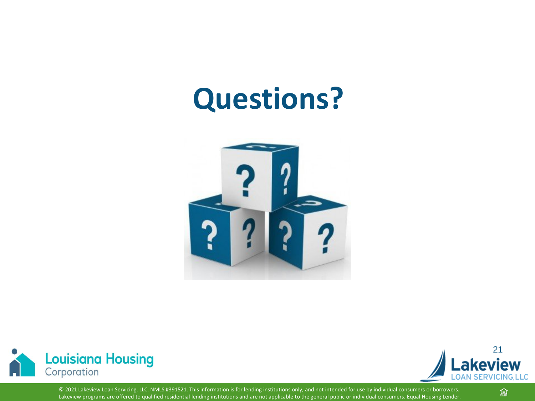## **Questions?**







© 2021 Lakeview Loan Servicing, LLC. NMLS #391521. This information is for lending institutions only, and not intended for use by individual consumers or borrowers. Lakeview programs are offered to qualified residential lending institutions and are not applicable to the general public or individual consumers. Equal Housing Lender.

盒